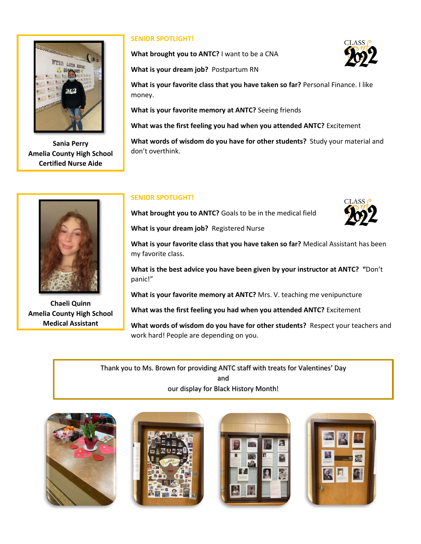

**Sania Perry Amelia County High School Certified Nurse Aide**

## **SENIOR SPOTLIGHT!**

**What brought you to ANTC?** I want to be a CNA



**What is your dream job?** Postpartum RN

**What is your favorite class that you have taken so far?** Personal Finance. I like money.

**What is your favorite memory at ANTC?** Seeing friends

**What was the first feeling you had when you attended ANTC?** Excitement

**What words of wisdom do you have for other students?** Study your material and don't overthink.



**Chaeli Quinn Amelia County High School Medical Assistant**

### **SENIOR SPOTLIGHT!**

**What brought you to ANTC?** Goals to be in the medical field



**What is your dream job?** Registered Nurse

**What is your favorite class that you have taken so far?** Medical Assistant has been my favorite class.

**What is the best advice you have been given by your instructor at ANTC? "**Don't panic!"

**What is your favorite memory at ANTC?** Mrs. V. teaching me venipuncture

**What was the first feeling you had when you attended ANTC?** Excitement

**What words of wisdom do you have for other students?** Respect your teachers and work hard! People are depending on you.

Thank you to Ms. Brown for providing ANTC staff with treats for Valentines' Day and our display for Black History Month!







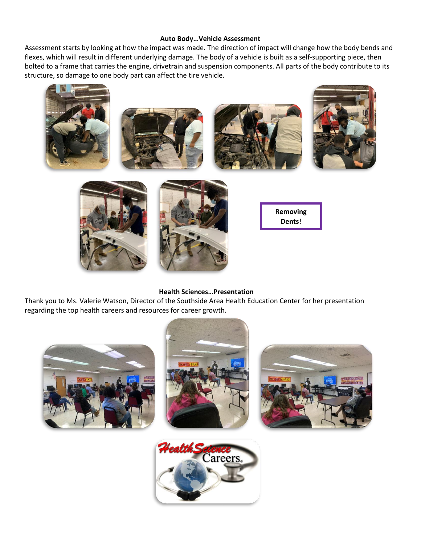### **Auto Body…Vehicle Assessment**

Assessment starts by looking at how the impact was made. The direction of impact will change how the body bends and flexes, which will result in different underlying damage. The body of a vehicle is built as a self-supporting piece, then bolted to a frame that carries the engine, drivetrain and suspension components. All parts of the body contribute to its structure, so damage to one body part can affect the tire vehicle.



#### **Health Sciences…Presentation**

Thank you to Ms. Valerie Watson, Director of the Southside Area Health Education Center for her presentation regarding the top health careers and resources for career growth.